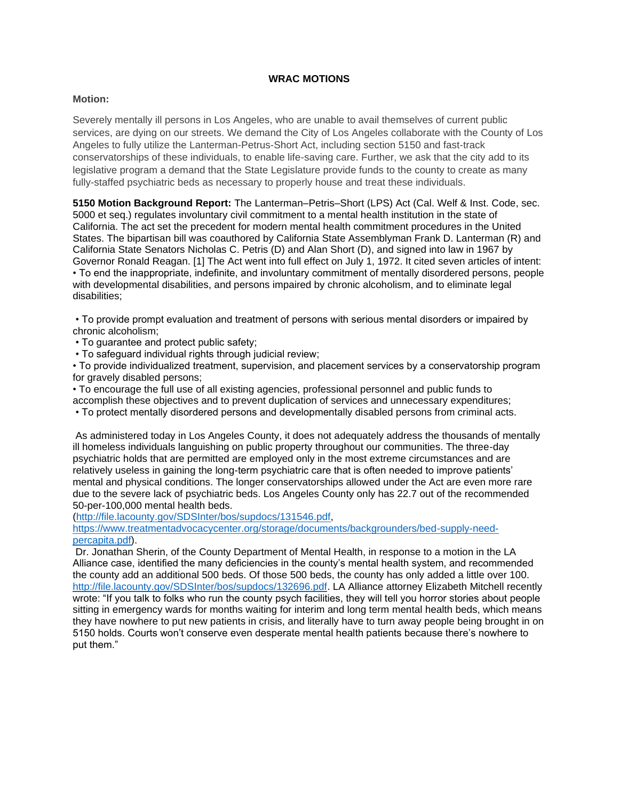# **WRAC MOTIONS**

## **Motion:**

Severely mentally ill persons in Los Angeles, who are unable to avail themselves of current public services, are dying on our streets. We demand the City of Los Angeles collaborate with the County of Los Angeles to fully utilize the Lanterman-Petrus-Short Act, including section 5150 and fast-track conservatorships of these individuals, to enable life-saving care. Further, we ask that the city add to its legislative program a demand that the State Legislature provide funds to the county to create as many fully-staffed psychiatric beds as necessary to properly house and treat these individuals.

**5150 Motion Background Report:** The Lanterman–Petris–Short (LPS) Act (Cal. Welf & Inst. Code, sec. 5000 et seq.) regulates involuntary civil commitment to a mental health institution in the state of California. The act set the precedent for modern mental health commitment procedures in the United States. The bipartisan bill was coauthored by California State Assemblyman Frank D. Lanterman (R) and California State Senators Nicholas C. Petris (D) and Alan Short (D), and signed into law in 1967 by Governor Ronald Reagan. [1] The Act went into full effect on July 1, 1972. It cited seven articles of intent: • To end the inappropriate, indefinite, and involuntary commitment of mentally disordered persons, people with developmental disabilities, and persons impaired by chronic alcoholism, and to eliminate legal disabilities;

• To provide prompt evaluation and treatment of persons with serious mental disorders or impaired by chronic alcoholism;

• To guarantee and protect public safety;

• To safeguard individual rights through judicial review;

• To provide individualized treatment, supervision, and placement services by a conservatorship program for gravely disabled persons;

• To encourage the full use of all existing agencies, professional personnel and public funds to

accomplish these objectives and to prevent duplication of services and unnecessary expenditures;

• To protect mentally disordered persons and developmentally disabled persons from criminal acts.

As administered today in Los Angeles County, it does not adequately address the thousands of mentally ill homeless individuals languishing on public property throughout our communities. The three-day psychiatric holds that are permitted are employed only in the most extreme circumstances and are relatively useless in gaining the long-term psychiatric care that is often needed to improve patients' mental and physical conditions. The longer conservatorships allowed under the Act are even more rare due to the severe lack of psychiatric beds. Los Angeles County only has 22.7 out of the recommended 50-per-100,000 mental health beds.

[\(http://file.lacounty.gov/SDSInter/bos/supdocs/131546.pdf,](http://file.lacounty.gov/SDSInter/bos/supdocs/131546.pdf)

[https://www.treatmentadvocacycenter.org/storage/documents/backgrounders/bed-supply-need](https://www.treatmentadvocacycenter.org/storage/documents/backgrounders/bed-supply-need-percapita.pdf)[percapita.pdf\)](https://www.treatmentadvocacycenter.org/storage/documents/backgrounders/bed-supply-need-percapita.pdf).

Dr. Jonathan Sherin, of the County Department of Mental Health, in response to a motion in the LA Alliance case, identified the many deficiencies in the county's mental health system, and recommended the county add an additional 500 beds. Of those 500 beds, the county has only added a little over 100. [http://file.lacounty.gov/SDSInter/bos/supdocs/132696.pdf.](http://file.lacounty.gov/SDSInter/bos/supdocs/132696.pdf) LA Alliance attorney Elizabeth Mitchell recently wrote: "If you talk to folks who run the county psych facilities, they will tell you horror stories about people sitting in emergency wards for months waiting for interim and long term mental health beds, which means they have nowhere to put new patients in crisis, and literally have to turn away people being brought in on 5150 holds. Courts won't conserve even desperate mental health patients because there's nowhere to put them."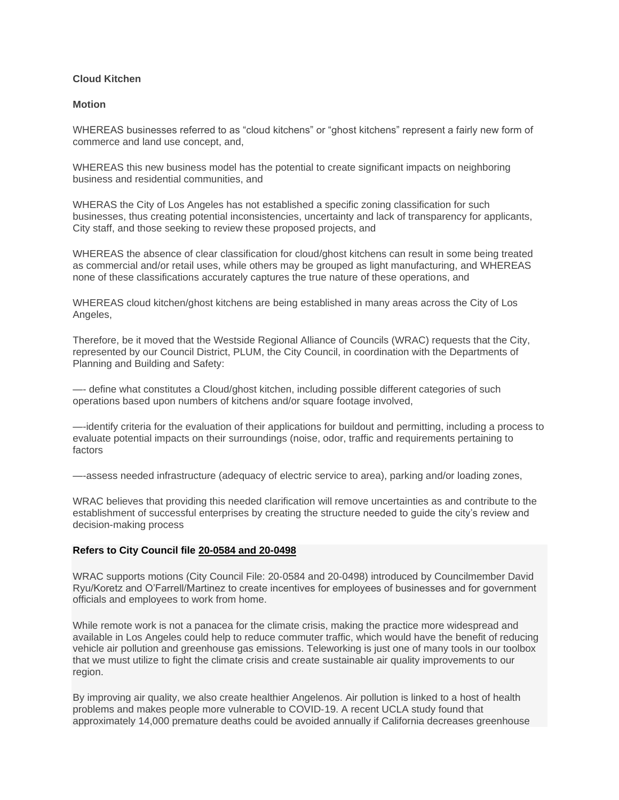## **Cloud Kitchen**

### **Motion**

WHEREAS businesses referred to as "cloud kitchens" or "ghost kitchens" represent a fairly new form of commerce and land use concept, and,

WHEREAS this new business model has the potential to create significant impacts on neighboring business and residential communities, and

WHERAS the City of Los Angeles has not established a specific zoning classification for such businesses, thus creating potential inconsistencies, uncertainty and lack of transparency for applicants, City staff, and those seeking to review these proposed projects, and

WHEREAS the absence of clear classification for cloud/ghost kitchens can result in some being treated as commercial and/or retail uses, while others may be grouped as light manufacturing, and WHEREAS none of these classifications accurately captures the true nature of these operations, and

WHEREAS cloud kitchen/ghost kitchens are being established in many areas across the City of Los Angeles,

Therefore, be it moved that the Westside Regional Alliance of Councils (WRAC) requests that the City, represented by our Council District, PLUM, the City Council, in coordination with the Departments of Planning and Building and Safety:

—- define what constitutes a Cloud/ghost kitchen, including possible different categories of such operations based upon numbers of kitchens and/or square footage involved,

—-identify criteria for the evaluation of their applications for buildout and permitting, including a process to evaluate potential impacts on their surroundings (noise, odor, traffic and requirements pertaining to factors

—-assess needed infrastructure (adequacy of electric service to area), parking and/or loading zones,

WRAC believes that providing this needed clarification will remove uncertainties as and contribute to the establishment of successful enterprises by creating the structure needed to guide the city's review and decision-making process

# **Refers to City Council file [20-0584 and 20-0498](http://cityclerk.lacity.org/lacityclerkconnect/index.cfm?fa=ccfi.viewrecord&cfnumber=20-0584%20and%2020-0498)**

WRAC supports motions (City Council File: 20‐0584 and 20‐0498) introduced by Councilmember David Ryu/Koretz and O'Farrell/Martinez to create incentives for employees of businesses and for government officials and employees to work from home.

While remote work is not a panacea for the climate crisis, making the practice more widespread and available in Los Angeles could help to reduce commuter traffic, which would have the benefit of reducing vehicle air pollution and greenhouse gas emissions. Teleworking is just one of many tools in our toolbox that we must utilize to fight the climate crisis and create sustainable air quality improvements to our region.

By improving air quality, we also create healthier Angelenos. Air pollution is linked to a host of health problems and makes people more vulnerable to COVID‐19. A recent UCLA study found that approximately 14,000 premature deaths could be avoided annually if California decreases greenhouse